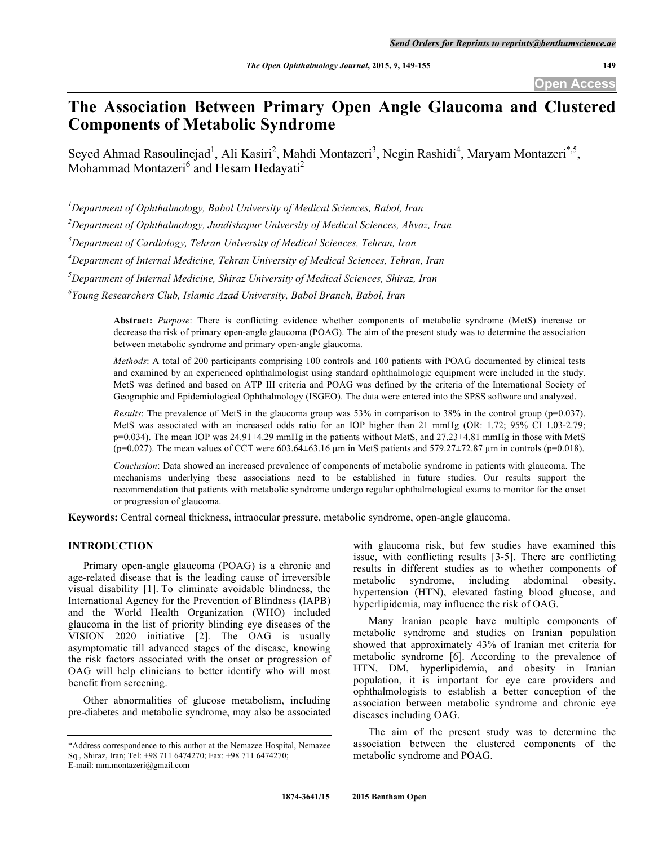# **The Association Between Primary Open Angle Glaucoma and Clustered Components of Metabolic Syndrome**

Seyed Ahmad Rasoulinejad<sup>1</sup>, Ali Kasiri<sup>2</sup>, Mahdi Montazeri<sup>3</sup>, Negin Rashidi<sup>4</sup>, Maryam Montazeri<sup>\*,5</sup>, Mohammad Montazeri<sup>6</sup> and Hesam Hedayati<sup>2</sup>

*1 Department of Ophthalmology, Babol University of Medical Sciences, Babol, Iran*

*2 Department of Ophthalmology, Jundishapur University of Medical Sciences, Ahvaz, Iran*

*3 Department of Cardiology, Tehran University of Medical Sciences, Tehran, Iran*

*4 Department of Internal Medicine, Tehran University of Medical Sciences, Tehran, Iran*

*5 Department of Internal Medicine, Shiraz University of Medical Sciences, Shiraz, Iran*

*6 Young Researchers Club, Islamic Azad University, Babol Branch, Babol, Iran*

**Abstract:** *Purpose*: There is conflicting evidence whether components of metabolic syndrome (MetS) increase or decrease the risk of primary open-angle glaucoma (POAG). The aim of the present study was to determine the association between metabolic syndrome and primary open-angle glaucoma.

*Methods*: A total of 200 participants comprising 100 controls and 100 patients with POAG documented by clinical tests and examined by an experienced ophthalmologist using standard ophthalmologic equipment were included in the study. MetS was defined and based on ATP III criteria and POAG was defined by the criteria of the International Society of Geographic and Epidemiological Ophthalmology (ISGEO). The data were entered into the SPSS software and analyzed.

*Results*: The prevalence of MetS in the glaucoma group was 53% in comparison to 38% in the control group (p=0.037). MetS was associated with an increased odds ratio for an IOP higher than 21 mmHg (OR: 1.72; 95% CI 1.03-2.79;  $p=0.034$ ). The mean IOP was  $24.91\pm4.29$  mmHg in the patients without MetS, and  $27.23\pm4.81$  mmHg in those with MetS (p=0.027). The mean values of CCT were  $603.64\pm63.16$  µm in MetS patients and  $579.27\pm72.87$  µm in controls (p=0.018).

*Conclusion*: Data showed an increased prevalence of components of metabolic syndrome in patients with glaucoma. The mechanisms underlying these associations need to be established in future studies. Our results support the recommendation that patients with metabolic syndrome undergo regular ophthalmological exams to monitor for the onset or progression of glaucoma.

**Keywords:** Central corneal thickness, intraocular pressure, metabolic syndrome, open-angle glaucoma.

## **INTRODUCTION**

Primary open-angle glaucoma (POAG) is a chronic and age-related disease that is the leading cause of irreversible visual disability [1]. To eliminate avoidable blindness, the International Agency for the Prevention of Blindness (IAPB) and the World Health Organization (WHO) included glaucoma in the list of priority blinding eye diseases of the VISION 2020 initiative [2]. The OAG is usually asymptomatic till advanced stages of the disease, knowing the risk factors associated with the onset or progression of OAG will help clinicians to better identify who will most benefit from screening.

Other abnormalities of glucose metabolism, including pre-diabetes and metabolic syndrome, may also be associated

with glaucoma risk, but few studies have examined this issue, with conflicting results [3-5]. There are conflicting results in different studies as to whether components of metabolic syndrome, including abdominal obesity, hypertension (HTN), elevated fasting blood glucose, and hyperlipidemia, may influence the risk of OAG.

Many Iranian people have multiple components of metabolic syndrome and studies on Iranian population showed that approximately 43% of Iranian met criteria for metabolic syndrome [6]. According to the prevalence of HTN, DM, hyperlipidemia, and obesity in Iranian population, it is important for eye care providers and ophthalmologists to establish a better conception of the association between metabolic syndrome and chronic eye diseases including OAG.

The aim of the present study was to determine the association between the clustered components of the metabolic syndrome and POAG.

<sup>\*</sup>Address correspondence to this author at the Nemazee Hospital, Nemazee Sq., Shiraz, Iran; Tel: +98 711 6474270; Fax: +98 711 6474270; E-mail: mm.montazeri@gmail.com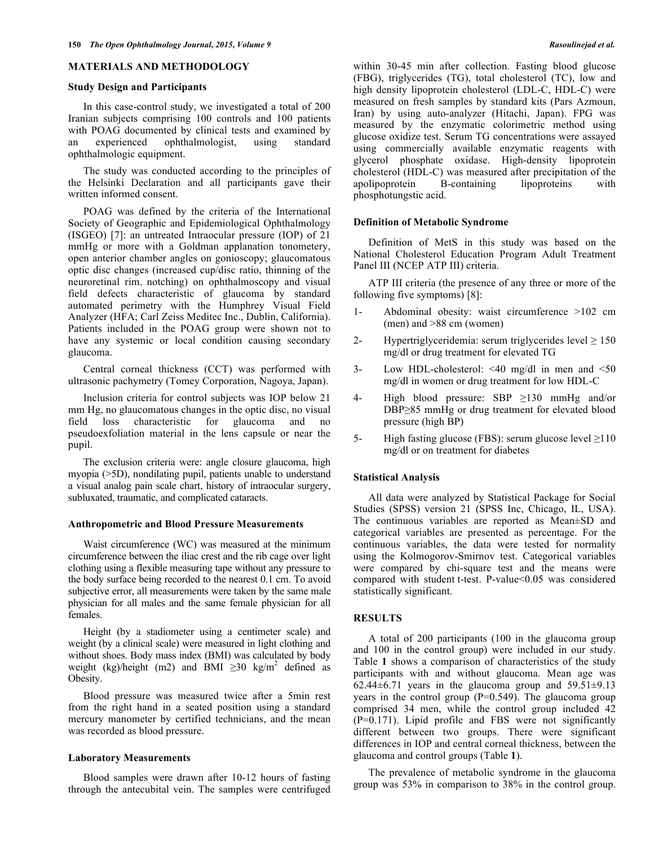#### **MATERIALS AND METHODOLOGY**

## **Study Design and Participants**

In this case-control study, we investigated a total of 200 Iranian subjects comprising 100 controls and 100 patients with POAG documented by clinical tests and examined by an experienced ophthalmologist, using standard ophthalmologic equipment.

The study was conducted according to the principles of the Helsinki Declaration and all participants gave their written informed consent.

POAG was defined by the criteria of the International Society of Geographic and Epidemiological Ophthalmology (ISGEO) [7]: an untreated Intraocular pressure (IOP) of 21 mmHg or more with a Goldman applanation tonometery, open anterior chamber angles on gonioscopy; glaucomatous optic disc changes (increased cup/disc ratio, thinning of the neuroretinal rim, notching) on ophthalmoscopy and visual field defects characteristic of glaucoma by standard automated perimetry with the Humphrey Visual Field Analyzer (HFA; Carl Zeiss Meditec Inc., Dublin, California). Patients included in the POAG group were shown not to have any systemic or local condition causing secondary glaucoma.

Central corneal thickness (CCT) was performed with ultrasonic pachymetry (Tomey Corporation, Nagoya, Japan).

Inclusion criteria for control subjects was IOP below 21 mm Hg, no glaucomatous changes in the optic disc, no visual field loss characteristic for glaucoma and no pseudoexfoliation material in the lens capsule or near the pupil.

The exclusion criteria were: angle closure glaucoma, high myopia (>5D), nondilating pupil, patients unable to understand a visual analog pain scale chart, history of intraocular surgery, subluxated, traumatic, and complicated cataracts.

#### **Anthropometric and Blood Pressure Measurements**

Waist circumference (WC) was measured at the minimum circumference between the iliac crest and the rib cage over light clothing using a flexible measuring tape without any pressure to the body surface being recorded to the nearest 0.1 cm. To avoid subjective error, all measurements were taken by the same male physician for all males and the same female physician for all females.

Height (by a stadiometer using a centimeter scale) and weight (by a clinical scale) were measured in light clothing and without shoes. Body mass index (BMI) was calculated by body weight (kg)/height (m2) and BMI  $\geq$ 30 kg/m<sup>2</sup> defined as Obesity.

Blood pressure was measured twice after a 5min rest from the right hand in a seated position using a standard mercury manometer by certified technicians, and the mean was recorded as blood pressure.

## **Laboratory Measurements**

Blood samples were drawn after 10-12 hours of fasting through the antecubital vein. The samples were centrifuged

within 30-45 min after collection. Fasting blood glucose (FBG), triglycerides (TG), total cholesterol (TC), low and high density lipoprotein cholesterol (LDL-C, HDL-C) were measured on fresh samples by standard kits (Pars Azmoun, Iran) by using auto-analyzer (Hitachi, Japan). FPG was measured by the enzymatic colorimetric method using glucose oxidize test. Serum TG concentrations were assayed using commercially available enzymatic reagents with glycerol phosphate oxidase. High-density lipoprotein cholesterol (HDL-C) was measured after precipitation of the apolipoprotein B-containing lipoproteins with phosphotungstic acid.

## **Definition of Metabolic Syndrome**

Definition of MetS in this study was based on the National Cholesterol Education Program Adult Treatment Panel III (NCEP ATP III) criteria.

ATP III criteria (the presence of any three or more of the following five symptoms) [8]:

- 1- Abdominal obesity: waist circumference >102 cm (men) and >88 cm (women)
- 2- Hypertriglyceridemia: serum triglycerides level  $\geq 150$ mg/dl or drug treatment for elevated TG
- 3- Low HDL-cholesterol: <40 mg/dl in men and <50 mg/dl in women or drug treatment for low HDL-C
- 4- High blood pressure: SBP ≥130 mmHg and/or DBP≥85 mmHg or drug treatment for elevated blood pressure (high BP)
- 5- High fasting glucose (FBS): serum glucose level  $\geq$ 110 mg/dl or on treatment for diabetes

#### **Statistical Analysis**

All data were analyzed by Statistical Package for Social Studies (SPSS) version 21 (SPSS Inc, Chicago, IL, USA). The continuous variables are reported as Mean±SD and categorical variables are presented as percentage. For the continuous variables, the data were tested for normality using the Kolmogorov-Smirnov test. Categorical variables were compared by chi-square test and the means were compared with student t-test. P-value<0.05 was considered statistically significant.

## **RESULTS**

A total of 200 participants (100 in the glaucoma group and 100 in the control group) were included in our study. Table **1** shows a comparison of characteristics of the study participants with and without glaucoma. Mean age was 62.44 $\pm$ 6.71 years in the glaucoma group and 59.51 $\pm$ 9.13 years in the control group  $(P=0.549)$ . The glaucoma group comprised 34 men, while the control group included 42 (P=0.171). Lipid profile and FBS were not significantly different between two groups. There were significant differences in IOP and central corneal thickness, between the glaucoma and control groups (Table **1**).

The prevalence of metabolic syndrome in the glaucoma group was 53% in comparison to 38% in the control group.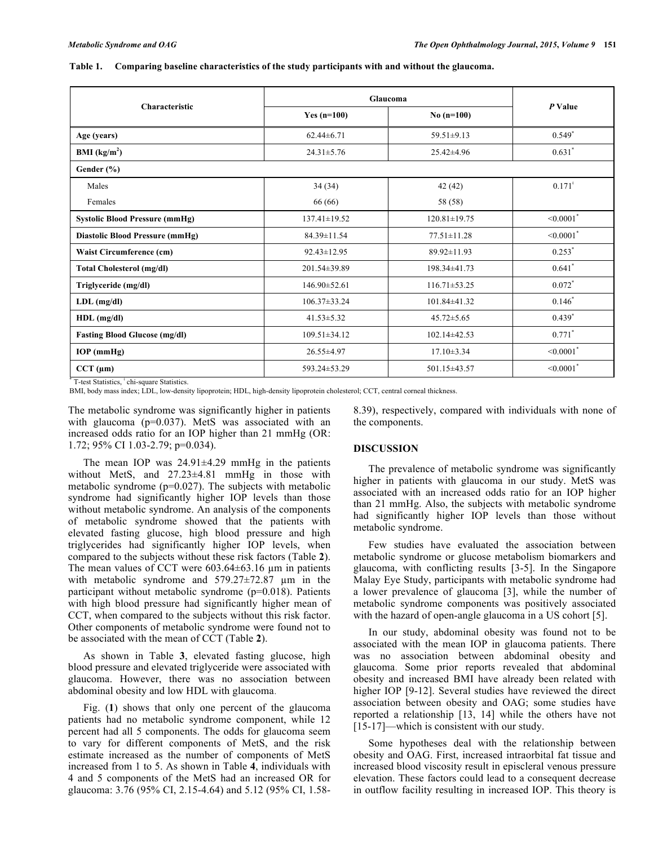## **Table 1. Comparing baseline characteristics of the study participants with and without the glaucoma.**

|                                        | Glaucoma                      |                    |                            |  |
|----------------------------------------|-------------------------------|--------------------|----------------------------|--|
| Characteristic                         | Yes $(n=100)$<br>No $(n=100)$ |                    | P Value                    |  |
| Age (years)                            | $62.44\pm 6.71$               | $59.51 \pm 9.13$   | $0.549*$                   |  |
| <b>BMI</b> ( $kg/m2$ )                 | $24.31 \pm 5.76$              | $25.42 \pm 4.96$   | $0.631$ <sup>*</sup>       |  |
| Gender $(\% )$                         |                               |                    |                            |  |
| Males                                  | 34(34)                        | 42(42)             | $0.171$ <sup>*</sup>       |  |
| Females                                | 66 (66)                       | 58 (58)            |                            |  |
| <b>Systolic Blood Pressure (mmHg)</b>  | $137.41 \pm 19.52$            | $120.81 \pm 19.75$ | $< 0.0001$ <sup>*</sup>    |  |
| <b>Diastolic Blood Pressure (mmHg)</b> | 84.39±11.54                   | $77.51 \pm 11.28$  | $\leq 0.0001$ <sup>*</sup> |  |
| Waist Circumference (cm)               | $92.43 \pm 12.95$             | $89.92 \pm 11.93$  | $0.253^*$                  |  |
| Total Cholesterol (mg/dl)              | 201.54±39.89                  | 198.34±41.73       | $0.641$ *                  |  |
| Triglyceride (mg/dl)                   | $146.90 \pm 52.61$            | $116.71 \pm 53.25$ | $0.072$ <sup>*</sup>       |  |
| $LDL$ (mg/dl)                          | $106.37 \pm 33.24$            | 101.84±41.32       | $0.146*$                   |  |
| HDL (mg/dl)                            | $41.53 \pm 5.32$              | $45.72 \pm 5.65$   | $0.439*$                   |  |
| <b>Fasting Blood Glucose (mg/dl)</b>   | $109.51 \pm 34.12$            | $102.14 \pm 42.53$ | $0.771$ <sup>*</sup>       |  |
| $IOP$ (mmHg)                           | $26.55 \pm 4.97$              | $17.10 \pm 3.34$   | $< 0.0001$ <sup>*</sup>    |  |
| $CCT$ ( $\mu$ m)                       | 593.24±53.29                  | 501.15±43.57       | $\leq 0.0001$ <sup>*</sup> |  |

\* T-test Statistics, <sup>ǂ</sup> chi-square Statistics.

BMI, body mass index; LDL, low-density lipoprotein; HDL, high-density lipoprotein cholesterol; CCT, central corneal thickness.

The metabolic syndrome was significantly higher in patients with glaucoma (p=0.037). MetS was associated with an increased odds ratio for an IOP higher than 21 mmHg (OR: 1.72; 95% CI 1.03-2.79; p=0.034).

The mean IOP was 24.91±4.29 mmHg in the patients without MetS, and 27.23±4.81 mmHg in those with metabolic syndrome (p=0.027). The subjects with metabolic syndrome had significantly higher IOP levels than those without metabolic syndrome. An analysis of the components of metabolic syndrome showed that the patients with elevated fasting glucose, high blood pressure and high triglycerides had significantly higher IOP levels, when compared to the subjects without these risk factors (Table **2**). The mean values of CCT were 603.64±63.16 µm in patients with metabolic syndrome and 579.27±72.87  $\mu$ m in the participant without metabolic syndrome (p=0.018). Patients with high blood pressure had significantly higher mean of CCT, when compared to the subjects without this risk factor. Other components of metabolic syndrome were found not to be associated with the mean of CCT (Table **2**).

As shown in Table **3**, elevated fasting glucose, high blood pressure and elevated triglyceride were associated with glaucoma. However, there was no association between abdominal obesity and low HDL with glaucoma.

Fig. (**1**) shows that only one percent of the glaucoma patients had no metabolic syndrome component, while 12 percent had all 5 components. The odds for glaucoma seem to vary for different components of MetS, and the risk estimate increased as the number of components of MetS increased from 1 to 5. As shown in Table **4**, individuals with 4 and 5 components of the MetS had an increased OR for glaucoma: 3.76 (95% CI, 2.15-4.64) and 5.12 (95% CI, 1.588.39), respectively, compared with individuals with none of the components.

#### **DISCUSSION**

The prevalence of metabolic syndrome was significantly higher in patients with glaucoma in our study. MetS was associated with an increased odds ratio for an IOP higher than 21 mmHg. Also, the subjects with metabolic syndrome had significantly higher IOP levels than those without metabolic syndrome.

Few studies have evaluated the association between metabolic syndrome or glucose metabolism biomarkers and glaucoma, with conflicting results [3-5]. In the Singapore Malay Eye Study, participants with metabolic syndrome had a lower prevalence of glaucoma [3], while the number of metabolic syndrome components was positively associated with the hazard of open-angle glaucoma in a US cohort [5].

In our study, abdominal obesity was found not to be associated with the mean IOP in glaucoma patients. There was no association between abdominal obesity and glaucoma. Some prior reports revealed that abdominal obesity and increased BMI have already been related with higher IOP [9-12]. Several studies have reviewed the direct association between obesity and OAG; some studies have reported a relationship [13, 14] while the others have not [15-17]—which is consistent with our study.

Some hypotheses deal with the relationship between obesity and OAG. First, increased intraorbital fat tissue and increased blood viscosity result in episcleral venous pressure elevation. These factors could lead to a consequent decrease in outflow facility resulting in increased IOP. This theory is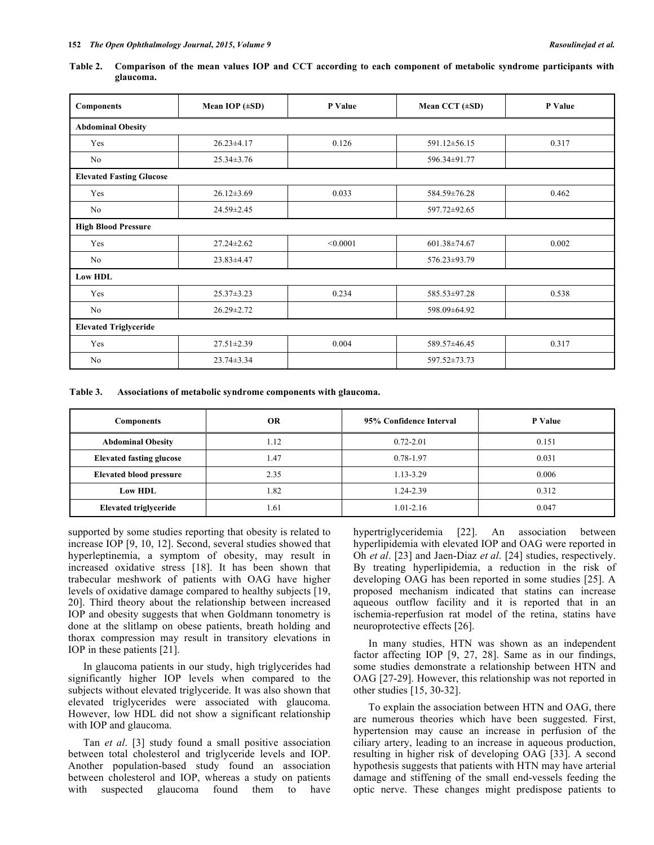| Table 2. Comparison of the mean values IOP and CCT according to each component of metabolic syndrome participants with |  |  |  |  |
|------------------------------------------------------------------------------------------------------------------------|--|--|--|--|
| glaucoma.                                                                                                              |  |  |  |  |

| Components                      | Mean IOP $(\pm SD)$ | P Value  | Mean CCT $(\pm SD)$ | P Value |
|---------------------------------|---------------------|----------|---------------------|---------|
| <b>Abdominal Obesity</b>        |                     |          |                     |         |
| Yes                             | $26.23 \pm 4.17$    | 0.126    | 591.12±56.15        | 0.317   |
| No                              | $25.34 \pm 3.76$    |          | 596.34±91.77        |         |
| <b>Elevated Fasting Glucose</b> |                     |          |                     |         |
| Yes                             | $26.12 \pm 3.69$    | 0.033    | 584.59±76.28        | 0.462   |
| No                              | 24.59±2.45          |          | 597.72±92.65        |         |
| <b>High Blood Pressure</b>      |                     |          |                     |         |
| Yes                             | $27.24 \pm 2.62$    | < 0.0001 | $601.38 \pm 74.67$  | 0.002   |
| No                              | $23.83 \pm 4.47$    |          | 576.23±93.79        |         |
| <b>Low HDL</b>                  |                     |          |                     |         |
| Yes                             | $25.37 \pm 3.23$    | 0.234    | 585.53±97.28        | 0.538   |
| No                              | $26.29 \pm 2.72$    |          | 598.09±64.92        |         |
| <b>Elevated Triglyceride</b>    |                     |          |                     |         |
| Yes                             | $27.51 \pm 2.39$    | 0.004    | 589.57±46.45        | 0.317   |
| No                              | 23.74±3.34          |          | 597.52±73.73        |         |

**Table 3. Associations of metabolic syndrome components with glaucoma.**

| <b>Components</b>               | <b>OR</b> | 95% Confidence Interval | P Value |
|---------------------------------|-----------|-------------------------|---------|
| <b>Abdominal Obesity</b>        | 1.12      | $0.72 - 2.01$           | 0.151   |
| <b>Elevated fasting glucose</b> | 1.47      | 0.78-1.97               | 0.031   |
| <b>Elevated blood pressure</b>  | 2.35      | 1.13-3.29               | 0.006   |
| <b>Low HDL</b>                  | 1.82      | 1.24-2.39               | 0.312   |
| Elevated triglyceride           | l.61      | 1.01-2.16               | 0.047   |

supported by some studies reporting that obesity is related to increase IOP [9, 10, 12]. Second, several studies showed that hyperleptinemia, a symptom of obesity, may result in increased oxidative stress [18]. It has been shown that trabecular meshwork of patients with OAG have higher levels of oxidative damage compared to healthy subjects [19, 20]. Third theory about the relationship between increased IOP and obesity suggests that when Goldmann tonometry is done at the slitlamp on obese patients, breath holding and thorax compression may result in transitory elevations in IOP in these patients [21].

In glaucoma patients in our study, high triglycerides had significantly higher IOP levels when compared to the subjects without elevated triglyceride. It was also shown that elevated triglycerides were associated with glaucoma. However, low HDL did not show a significant relationship with IOP and glaucoma.

Tan *et al*. [3] study found a small positive association between total cholesterol and triglyceride levels and IOP. Another population-based study found an association between cholesterol and IOP, whereas a study on patients with suspected glaucoma found them to have hypertriglyceridemia [22]. An association between hyperlipidemia with elevated IOP and OAG were reported in Oh *et al*. [23] and Jaen-Diaz *et al*. [24] studies, respectively. By treating hyperlipidemia, a reduction in the risk of developing OAG has been reported in some studies [25]. A proposed mechanism indicated that statins can increase aqueous outflow facility and it is reported that in an ischemia-reperfusion rat model of the retina, statins have neuroprotective effects [26].

In many studies, HTN was shown as an independent factor affecting IOP [9, 27, 28]. Same as in our findings, some studies demonstrate a relationship between HTN and OAG [27-29]. However, this relationship was not reported in other studies [15, 30-32].

To explain the association between HTN and OAG, there are numerous theories which have been suggested. First, hypertension may cause an increase in perfusion of the ciliary artery, leading to an increase in aqueous production, resulting in higher risk of developing OAG [33]. A second hypothesis suggests that patients with HTN may have arterial damage and stiffening of the small end-vessels feeding the optic nerve. These changes might predispose patients to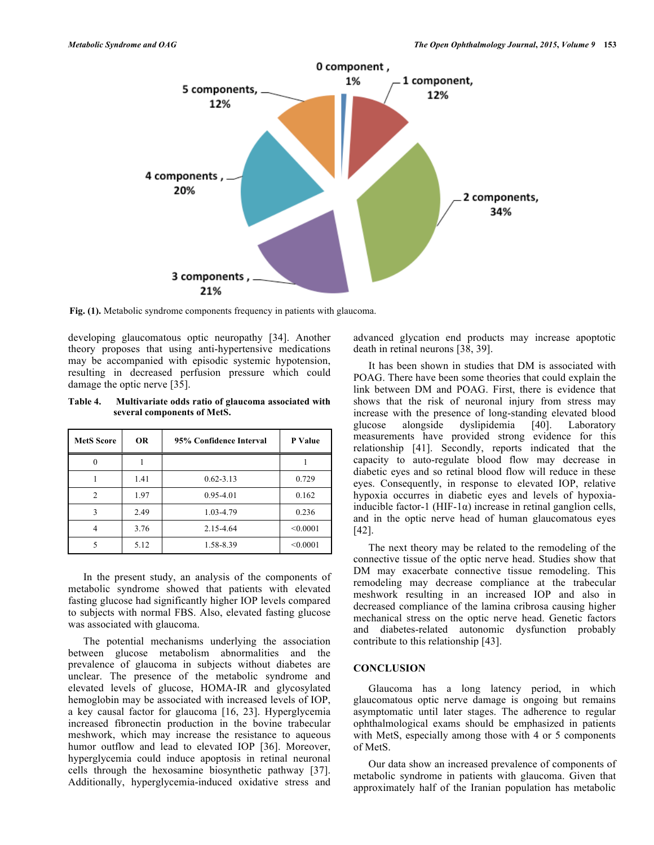

**Fig. (1).** Metabolic syndrome components frequency in patients with glaucoma.

developing glaucomatous optic neuropathy [34]. Another theory proposes that using anti-hypertensive medications may be accompanied with episodic systemic hypotension, resulting in decreased perfusion pressure which could damage the optic nerve [35].

**Table 4. Multivariate odds ratio of glaucoma associated with several components of MetS.**

| <b>MetS Score</b> | <b>OR</b> | 95% Confidence Interval | P Value  |
|-------------------|-----------|-------------------------|----------|
|                   |           |                         |          |
|                   | 1.41      | $0.62 - 3.13$           | 0.729    |
| $\overline{c}$    | 1.97      | $0.95 - 4.01$           | 0.162    |
| 3                 | 2.49      | 1.03-4.79               | 0.236    |
| 4                 | 3.76      | 2.15-4.64               | < 0.0001 |
|                   | 5.12      | 1.58-8.39               | < 0.0001 |

In the present study, an analysis of the components of metabolic syndrome showed that patients with elevated fasting glucose had significantly higher IOP levels compared to subjects with normal FBS. Also, elevated fasting glucose was associated with glaucoma.

The potential mechanisms underlying the association between glucose metabolism abnormalities and the prevalence of glaucoma in subjects without diabetes are unclear. The presence of the metabolic syndrome and elevated levels of glucose, HOMA-IR and glycosylated hemoglobin may be associated with increased levels of IOP, a key causal factor for glaucoma [16, 23]. Hyperglycemia increased fibronectin production in the bovine trabecular meshwork, which may increase the resistance to aqueous humor outflow and lead to elevated IOP [36]. Moreover, hyperglycemia could induce apoptosis in retinal neuronal cells through the hexosamine biosynthetic pathway [37]. Additionally, hyperglycemia-induced oxidative stress and

advanced glycation end products may increase apoptotic death in retinal neurons [38, 39].

It has been shown in studies that DM is associated with POAG. There have been some theories that could explain the link between DM and POAG. First, there is evidence that shows that the risk of neuronal injury from stress may increase with the presence of long-standing elevated blood glucose alongside dyslipidemia [40]. Laboratory measurements have provided strong evidence for this relationship [41]. Secondly, reports indicated that the capacity to auto-regulate blood flow may decrease in diabetic eyes and so retinal blood flow will reduce in these eyes. Consequently, in response to elevated IOP, relative hypoxia occurres in diabetic eyes and levels of hypoxiainducible factor-1 (HIF-1 $\alpha$ ) increase in retinal ganglion cells, and in the optic nerve head of human glaucomatous eyes [42].

The next theory may be related to the remodeling of the connective tissue of the optic nerve head. Studies show that DM may exacerbate connective tissue remodeling. This remodeling may decrease compliance at the trabecular meshwork resulting in an increased IOP and also in decreased compliance of the lamina cribrosa causing higher mechanical stress on the optic nerve head. Genetic factors and diabetes-related autonomic dysfunction probably contribute to this relationship [43].

## **CONCLUSION**

Glaucoma has a long latency period, in which glaucomatous optic nerve damage is ongoing but remains asymptomatic until later stages. The adherence to regular ophthalmological exams should be emphasized in patients with MetS, especially among those with 4 or 5 components of MetS.

Our data show an increased prevalence of components of metabolic syndrome in patients with glaucoma. Given that approximately half of the Iranian population has metabolic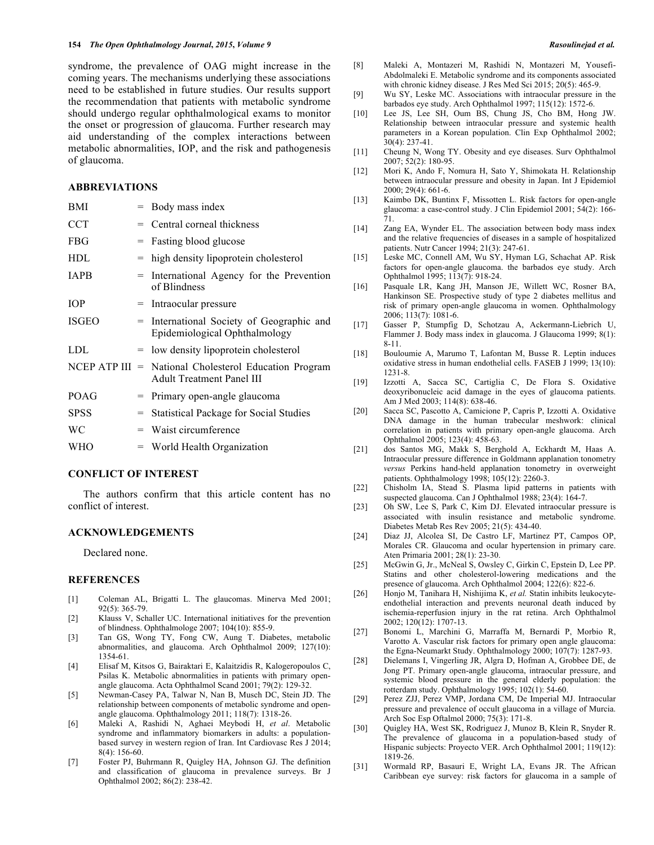syndrome, the prevalence of OAG might increase in the coming years. The mechanisms underlying these associations need to be established in future studies. Our results support the recommendation that patients with metabolic syndrome should undergo regular ophthalmological exams to monitor the onset or progression of glaucoma. Further research may aid understanding of the complex interactions between metabolic abnormalities, IOP, and the risk and pathogenesis of glaucoma.

## **ABBREVIATIONS**

| BMI                |     | Body mass index                                                            |
|--------------------|-----|----------------------------------------------------------------------------|
| <b>CCT</b>         |     | $=$ Central corneal thickness                                              |
| FBG                | $=$ | Fasting blood glucose                                                      |
| HDL                | $=$ | high density lipoprotein cholesterol                                       |
| <b>IAPB</b>        | $=$ | International Agency for the Prevention<br>of Blindness                    |
| IOP                | $=$ | Intraocular pressure                                                       |
| ISGEO              | $=$ | International Society of Geographic and<br>Epidemiological Ophthalmology   |
| LDL                |     | = low density lipoprotein cholesterol                                      |
| $NCEP$ ATP III $=$ |     | National Cholesterol Education Program<br><b>Adult Treatment Panel III</b> |
| POAG               | $=$ | Primary open-angle glaucoma                                                |
| <b>SPSS</b>        | $=$ | <b>Statistical Package for Social Studies</b>                              |
| WС                 | $=$ | Waist circumference                                                        |
| WHO                |     | $=$ World Health Organization                                              |
|                    |     |                                                                            |

#### **CONFLICT OF INTEREST**

The authors confirm that this article content has no conflict of interest.

## **ACKNOWLEDGEMENTS**

Declared none.

#### **REFERENCES**

- [1] Coleman AL, Brigatti L. The glaucomas. Minerva Med 2001; 92(5): 365-79.
- [2] Klauss V, Schaller UC. International initiatives for the prevention of blindness. Ophthalmologe 2007; 104(10): 855-9.
- [3] Tan GS, Wong TY, Fong CW, Aung T. Diabetes, metabolic abnormalities, and glaucoma. Arch Ophthalmol 2009; 127(10): 1354-61.
- [4] Elisaf M, Kitsos G, Bairaktari E, Kalaitzidis R, Kalogeropoulos C, Psilas K. Metabolic abnormalities in patients with primary openangle glaucoma. Acta Ophthalmol Scand 2001; 79(2): 129-32.
- [5] Newman-Casey PA, Talwar N, Nan B, Musch DC, Stein JD. The relationship between components of metabolic syndrome and openangle glaucoma. Ophthalmology 2011; 118(7): 1318-26.
- [6] Maleki A, Rashidi N, Aghaei Meybodi H, *et al*. Metabolic syndrome and inflammatory biomarkers in adults: a populationbased survey in western region of Iran. Int Cardiovasc Res J 2014; 8(4): 156-60.
- [7] Foster PJ, Buhrmann R, Quigley HA, Johnson GJ. The definition and classification of glaucoma in prevalence surveys. Br J Ophthalmol 2002; 86(2): 238-42.
- [8] Maleki A, Montazeri M, Rashidi N, Montazeri M, Yousefi-Abdolmaleki E. Metabolic syndrome and its components associated with chronic kidney disease. J Res Med Sci 2015; 20(5): 465-9.
- [9] Wu SY, Leske MC. Associations with intraocular pressure in the barbados eye study. Arch Ophthalmol 1997; 115(12): 1572-6.
- [10] Lee JS, Lee SH, Oum BS, Chung JS, Cho BM, Hong JW. Relationship between intraocular pressure and systemic health parameters in a Korean population. Clin Exp Ophthalmol 2002; 30(4): 237-41.
- [11] Cheung N, Wong TY. Obesity and eye diseases. Surv Ophthalmol 2007; 52(2): 180-95.
- [12] Mori K, Ando F, Nomura H, Sato Y, Shimokata H. Relationship between intraocular pressure and obesity in Japan. Int J Epidemiol 2000; 29(4): 661-6.
- [13] Kaimbo DK, Buntinx F, Missotten L. Risk factors for open-angle glaucoma: a case-control study. J Clin Epidemiol 2001; 54(2): 166- 71.
- [14] Zang EA, Wynder EL. The association between body mass index and the relative frequencies of diseases in a sample of hospitalized patients. Nutr Cancer 1994; 21(3): 247-61.
- [15] Leske MC, Connell AM, Wu SY, Hyman LG, Schachat AP. Risk factors for open-angle glaucoma. the barbados eye study. Arch Ophthalmol 1995; 113(7): 918-24.
- [16] Pasquale LR, Kang JH, Manson JE, Willett WC, Rosner BA, Hankinson SE. Prospective study of type 2 diabetes mellitus and risk of primary open-angle glaucoma in women. Ophthalmology 2006; 113(7): 1081-6.
- [17] Gasser P, Stumpfig D, Schotzau A, Ackermann-Liebrich U, Flammer J. Body mass index in glaucoma. J Glaucoma 1999; 8(1): 8-11.
- [18] Bouloumie A, Marumo T, Lafontan M, Busse R. Leptin induces oxidative stress in human endothelial cells. FASEB J 1999; 13(10): 1231-8.
- [19] Izzotti A, Sacca SC, Cartiglia C, De Flora S. Oxidative deoxyribonucleic acid damage in the eyes of glaucoma patients. Am J Med 2003; 114(8): 638-46.
- [20] Sacca SC, Pascotto A, Camicione P, Capris P, Izzotti A. Oxidative DNA damage in the human trabecular meshwork: clinical correlation in patients with primary open-angle glaucoma. Arch Ophthalmol 2005; 123(4): 458-63.
- [21] dos Santos MG, Makk S, Berghold A, Eckhardt M, Haas A. Intraocular pressure difference in Goldmann applanation tonometry *versus* Perkins hand-held applanation tonometry in overweight patients. Ophthalmology 1998; 105(12): 2260-3.
- [22] Chisholm IA, Stead S. Plasma lipid patterns in patients with suspected glaucoma. Can J Ophthalmol 1988; 23(4): 164-7.
- [23] Oh SW, Lee S, Park C, Kim DJ. Elevated intraocular pressure is associated with insulin resistance and metabolic syndrome. Diabetes Metab Res Rev 2005; 21(5): 434-40.
- [24] Diaz JJ, Alcolea SI, De Castro LF, Martinez PT, Campos OP, Morales CR. Glaucoma and ocular hypertension in primary care. Aten Primaria 2001; 28(1): 23-30.
- [25] McGwin G, Jr., McNeal S, Owsley C, Girkin C, Epstein D, Lee PP. Statins and other cholesterol-lowering medications and the presence of glaucoma. Arch Ophthalmol 2004; 122(6): 822-6.
- [26] Honjo M, Tanihara H, Nishijima K, *et al.* Statin inhibits leukocyteendothelial interaction and prevents neuronal death induced by ischemia-reperfusion injury in the rat retina. Arch Ophthalmol 2002; 120(12): 1707-13.
- [27] Bonomi L, Marchini G, Marraffa M, Bernardi P, Morbio R, Varotto A. Vascular risk factors for primary open angle glaucoma: the Egna-Neumarkt Study. Ophthalmology 2000; 107(7): 1287-93.
- [28] Dielemans I, Vingerling JR, Algra D, Hofman A, Grobbee DE, de Jong PT. Primary open-angle glaucoma, intraocular pressure, and systemic blood pressure in the general elderly population: the rotterdam study. Ophthalmology 1995; 102(1): 54-60.
- [29] Perez ZJJ, Perez VMP, Jordana CM, De Imperial MJ. Intraocular pressure and prevalence of occult glaucoma in a village of Murcia. Arch Soc Esp Oftalmol 2000; 75(3): 171-8.
- [30] Quigley HA, West SK, Rodriguez J, Munoz B, Klein R, Snyder R. The prevalence of glaucoma in a population-based study of Hispanic subjects: Proyecto VER. Arch Ophthalmol 2001; 119(12): 1819-26.
- [31] Wormald RP, Basauri E, Wright LA, Evans JR. The African Caribbean eye survey: risk factors for glaucoma in a sample of